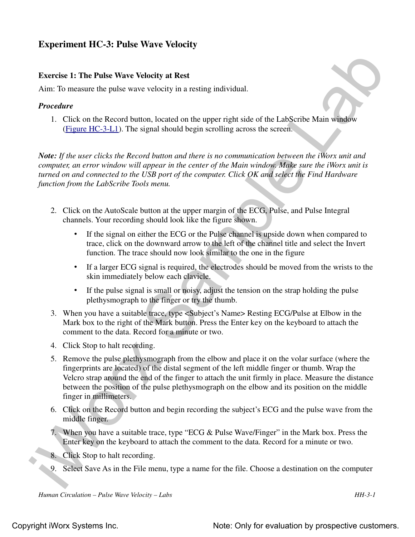# **Experiment HC-3: Pulse Wave Velocity**

#### **Exercise 1: The Pulse Wave Velocity at Rest**

Aim: To measure the pulse wave velocity in a resting individual.

#### *Procedure*

1. Click on the Record button, located on the upper right side of the LabScribe Main window (Figure HC-3-L1). The signal should begin scrolling across the screen.

*Note: If the user clicks the Record button and there is no communication between the iWorx unit and computer, an error window will appear in the center of the Main window. Make sure the iWorx unit is turned on and connected to the USB port of the computer. Click OK and select the Find Hardware function from the LabScribe Tools menu.* 

- 2. Click on the AutoScale button at the upper margin of the ECG, Pulse, and Pulse Integral channels. Your recording should look like the figure shown.
	- If the signal on either the ECG or the Pulse channel is upside down when compared to trace, click on the downward arrow to the left of the channel title and select the Invert function. The trace should now look similar to the one in the figure
	- If a larger ECG signal is required, the electrodes should be moved from the wrists to the skin immediately below each clavicle.
	- If the pulse signal is small or noisy, adjust the tension on the strap holding the pulse plethysmograph to the finger or try the thumb.
- 3. When you have a suitable trace, type <Subject's Name> Resting ECG/Pulse at Elbow in the Mark box to the right of the Mark button. Press the Enter key on the keyboard to attach the comment to the data. Record for a minute or two.
- 4. Click Stop to halt recording.
- Exercise 1: The Pulse Wave Velocity at Reef<br>
Exercise 1: The Pulse Wave Velocity at Reef<br>
2. Click on the Record button located on the upper right side of the LabScribe Main window<br>
1. Click on the Record button located o 5. Remove the pulse plethysmograph from the elbow and place it on the volar surface (where the fingerprints are located) of the distal segment of the left middle finger or thumb. Wrap the Velcro strap around the end of the finger to attach the unit firmly in place. Measure the distance between the position of the pulse plethysmograph on the elbow and its position on the middle finger in millimeters.
	- 6. Click on the Record button and begin recording the subject's ECG and the pulse wave from the middle finger.
	- 7. When you have a suitable trace, type "ECG & Pulse Wave/Finger" in the Mark box. Press the Enter key on the keyboard to attach the comment to the data. Record for a minute or two.
	- 8. Click Stop to halt recording.
	- 9. Select Save As in the File menu, type a name for the file. Choose a destination on the computer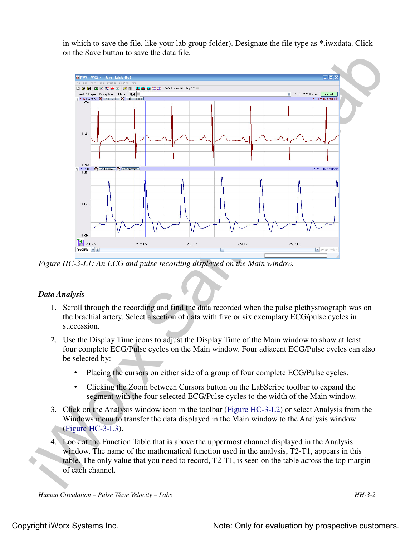in which to save the file, like your lab group folder). Designate the file type as \*.iwxdata. Click on the Save button to save the data file.



*Figure HC-3-L1: An ECG and pulse recording displayed on the Main window.*

# *Data Analysis*

- 1. Scroll through the recording and find the data recorded when the pulse plethysmograph was on the brachial artery. Select a section of data with five or six exemplary ECG/pulse cycles in succession.
- 2. Use the Display Time icons to adjust the Display Time of the Main window to show at least four complete ECG/Pulse cycles on the Main window. Four adjacent ECG/Pulse cycles can also be selected by:
	- Placing the cursors on either side of a group of four complete ECG/Pulse cycles.
	- Clicking the Zoom between Cursors button on the LabScribe toolbar to expand the segment with the four selected ECG/Pulse cycles to the width of the Main window.
- 3. Click on the Analysis window icon in the toolbar (Figure HC-3-L2) or select Analysis from the Windows menu to transfer the data displayed in the Main window to the Analysis window (Figure HC-3-L3).
- 4. Look at the Function Table that is above the uppermost channel displayed in the Analysis window. The name of the mathematical function used in the analysis, T2-T1, appears in this table. The only value that you need to record, T2-T1, is seen on the table across the top margin of each channel.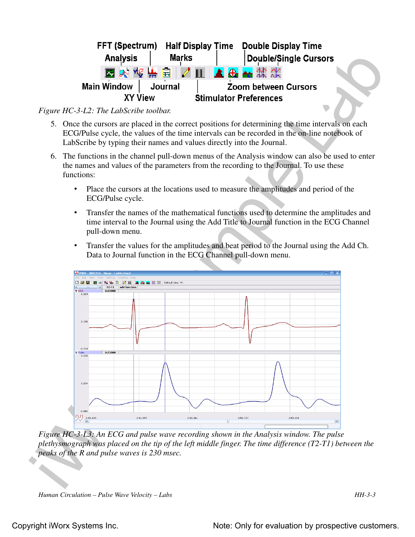| FFT (Spectrum)     | <b>Half Display Time</b> |                             | <b>Double Display Time</b>    |  |
|--------------------|--------------------------|-----------------------------|-------------------------------|--|
| <b>Analysis</b>    | <b>Marks</b>             |                             | <b>Double/Single Cursors</b>  |  |
|                    | 图对设备自身皿                  |                             | <b>A</b> & * * *              |  |
| <b>Main Window</b> | Journal                  | <b>Zoom between Cursors</b> |                               |  |
| <b>XY View</b>     |                          |                             | <b>Stimulator Preferences</b> |  |

### *Figure HC-3-L2: The LabScribe toolbar.*

- 5. Once the cursors are placed in the correct positions for determining the time intervals on each ECG/Pulse cycle, the values of the time intervals can be recorded in the on-line notebook of LabScribe by typing their names and values directly into the Journal.
- 6. The functions in the channel pull-down menus of the Analysis window can also be used to enter the names and values of the parameters from the recording to the Journal. To use these functions:
	- Place the cursors at the locations used to measure the amplitudes and period of the ECG/Pulse cycle.
	- Transfer the names of the mathematical functions used to determine the amplitudes and time interval to the Journal using the Add Title to Journal function in the ECG Channel pull-down menu.
	- Transfer the values for the amplitudes and beat period to the Journal using the Add Ch. Data to Journal function in the ECG Channel pull-down menu.



*Figure HC-3-L3: An ECG and pulse wave recording shown in the Analysis window. The pulse plethysmograph was placed on the tip of the left middle finger. The time difference (T2-T1) between the peaks of the R and pulse waves is 230 msec.*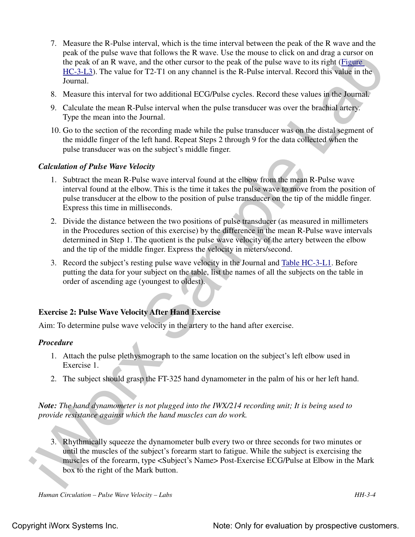- pask of the publis wave that follows the R wave Use the manus of coincid that a county of the path and the space of the matter of and the angular counterparticle and the space of the space of the space of the space of the 7. Measure the R-Pulse interval, which is the time interval between the peak of the R wave and the peak of the pulse wave that follows the R wave. Use the mouse to click on and drag a cursor on the peak of an R wave, and the other cursor to the peak of the pulse wave to its right (Figure HC-3-L3). The value for T2-T1 on any channel is the R-Pulse interval. Record this value in the Journal.
	- 8. Measure this interval for two additional ECG/Pulse cycles. Record these values in the Journal.
	- 9. Calculate the mean R-Pulse interval when the pulse transducer was over the brachial artery. Type the mean into the Journal.
	- 10. Go to the section of the recording made while the pulse transducer was on the distal segment of the middle finger of the left hand. Repeat Steps 2 through 9 for the data collected when the pulse transducer was on the subject's middle finger.

### *Calculation of Pulse Wave Velocity*

- 1. Subtract the mean R-Pulse wave interval found at the elbow from the mean R-Pulse wave interval found at the elbow. This is the time it takes the pulse wave to move from the position of pulse transducer at the elbow to the position of pulse transducer on the tip of the middle finger. Express this time in milliseconds.
- 2. Divide the distance between the two positions of pulse transducer (as measured in millimeters in the Procedures section of this exercise) by the difference in the mean R-Pulse wave intervals determined in Step 1. The quotient is the pulse wave velocity of the artery between the elbow and the tip of the middle finger. Express the velocity in meters/second.
- 3. Record the subject's resting pulse wave velocity in the Journal and Table HC-3-L1. Before putting the data for your subject on the table, list the names of all the subjects on the table in order of ascending age (youngest to oldest).

# **Exercise 2: Pulse Wave Velocity After Hand Exercise**

Aim: To determine pulse wave velocity in the artery to the hand after exercise.

#### *Procedure*

- 1. Attach the pulse plethysmograph to the same location on the subject's left elbow used in Exercise 1.
- 2. The subject should grasp the FT-325 hand dynamometer in the palm of his or her left hand.

*Note: The hand dynamometer is not plugged into the IWX/214 recording unit; It is being used to provide resistance against which the hand muscles can do work.*

3. Rhythmically squeeze the dynamometer bulb every two or three seconds for two minutes or until the muscles of the subject's forearm start to fatigue. While the subject is exercising the muscles of the forearm, type <Subject's Name> Post-Exercise ECG/Pulse at Elbow in the Mark box to the right of the Mark button.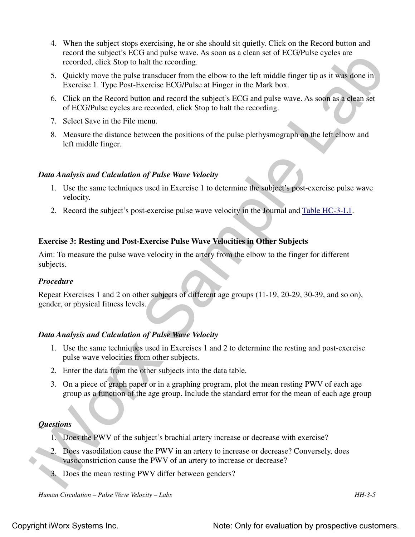- record the subject's FCC and pulse wave. As soon as a client set of ECG/Pulse eycles are<br>recorded, client Slop to ball the recording<br>5. Quickly move the pulse franchitect from the elector to the elect mulde franger tip as 4. When the subject stops exercising, he or she should sit quietly. Click on the Record button and record the subject's ECG and pulse wave. As soon as a clean set of ECG/Pulse cycles are recorded, click Stop to halt the recording.
	- 5. Quickly move the pulse transducer from the elbow to the left middle finger tip as it was done in Exercise 1. Type Post-Exercise ECG/Pulse at Finger in the Mark box.
	- 6. Click on the Record button and record the subject's ECG and pulse wave. As soon as a clean set of ECG/Pulse cycles are recorded, click Stop to halt the recording.
	- 7. Select Save in the File menu.
	- 8. Measure the distance between the positions of the pulse plethysmograph on the left elbow and left middle finger.

# *Data Analysis and Calculation of Pulse Wave Velocity*

- 1. Use the same techniques used in Exercise 1 to determine the subject's post-exercise pulse wave velocity.
- 2. Record the subject's post-exercise pulse wave velocity in the Journal and Table HC-3-L1.

# **Exercise 3: Resting and Post-Exercise Pulse Wave Velocities in Other Subjects**

Aim: To measure the pulse wave velocity in the artery from the elbow to the finger for different subjects.

#### *Procedure*

Repeat Exercises 1 and 2 on other subjects of different age groups (11-19, 20-29, 30-39, and so on), gender, or physical fitness levels.

# *Data Analysis and Calculation of Pulse Wave Velocity*

- 1. Use the same techniques used in Exercises 1 and 2 to determine the resting and post-exercise pulse wave velocities from other subjects.
- 2. Enter the data from the other subjects into the data table.
- 3. On a piece of graph paper or in a graphing program, plot the mean resting PWV of each age group as a function of the age group. Include the standard error for the mean of each age group

#### *Questions*

- 1. Does the PWV of the subject's brachial artery increase or decrease with exercise?
- 2. Does vasodilation cause the PWV in an artery to increase or decrease? Conversely, does vasoconstriction cause the PWV of an artery to increase or decrease?
- 3. Does the mean resting PWV differ between genders?